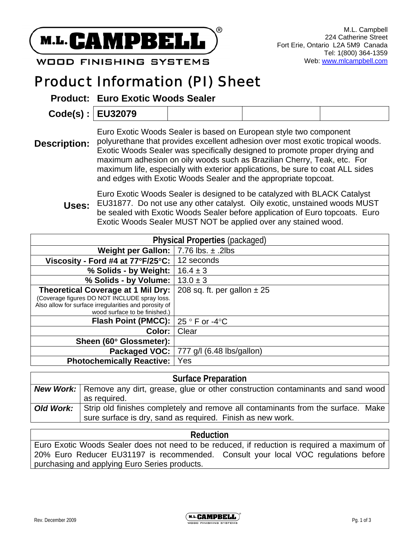

**WOOD FINISHING SYSTEMS** 

# Product Information (PI) Sheet

**Product: Euro Exotic Woods Sealer** 

| Code(s):   EU32079 |  |  |  |
|--------------------|--|--|--|
|--------------------|--|--|--|

**Description:**  Euro Exotic Woods Sealer is based on European style two component polyurethane that provides excellent adhesion over most exotic tropical woods. Exotic Woods Sealer was specifically designed to promote proper drying and maximum adhesion on oily woods such as Brazilian Cherry, Teak, etc. For maximum life, especially with exterior applications, be sure to coat ALL sides and edges with Exotic Woods Sealer and the appropriate topcoat.

**Uses:**  Euro Exotic Woods Sealer is designed to be catalyzed with BLACK Catalyst EU31877. Do not use any other catalyst. Oily exotic, unstained woods MUST be sealed with Exotic Woods Sealer before application of Euro topcoats. Euro Exotic Woods Sealer MUST NOT be applied over any stained wood.

| <b>Physical Properties (packaged)</b>                                                                                                                                        |                                  |  |
|------------------------------------------------------------------------------------------------------------------------------------------------------------------------------|----------------------------------|--|
| <b>Weight per Gallon:</b> $  7.76$ lbs. $\pm$ .2lbs                                                                                                                          |                                  |  |
| Viscosity - Ford #4 at $77^{\circ}F/25^{\circ}C$ :                                                                                                                           | 12 seconds                       |  |
| % Solids - by Weight:                                                                                                                                                        | $16.4 \pm 3$                     |  |
| % Solids - by Volume:                                                                                                                                                        | $13.0 \pm 3$                     |  |
| Theoretical Coverage at 1 Mil Dry:<br>(Coverage figures DO NOT INCLUDE spray loss.<br>Also allow for surface irregularities and porosity of<br>wood surface to be finished.) | 208 sq. ft. per gallon $\pm 25$  |  |
| Flash Point (PMCC):                                                                                                                                                          | 25 $\degree$ F or -4 $\degree$ C |  |
| Color:                                                                                                                                                                       | Clear                            |  |
| Sheen (60° Glossmeter):                                                                                                                                                      |                                  |  |
| Packaged VOC:                                                                                                                                                                | 777 g/l (6.48 lbs/gallon)        |  |
| <b>Photochemically Reactive:</b>                                                                                                                                             | Yes                              |  |

| <b>Surface Preparation</b> |                                                                                                                                                |  |  |
|----------------------------|------------------------------------------------------------------------------------------------------------------------------------------------|--|--|
|                            | <b>New Work:</b> Remove any dirt, grease, glue or other construction contaminants and sand wood                                                |  |  |
|                            | as required.                                                                                                                                   |  |  |
| Old Work:                  | Strip old finishes completely and remove all contaminants from the surface. Make<br>sure surface is dry, sand as required. Finish as new work. |  |  |

#### **Reduction**

Euro Exotic Woods Sealer does not need to be reduced, if reduction is required a maximum of 20% Euro Reducer EU31197 is recommended. Consult your local VOC regulations before purchasing and applying Euro Series products.

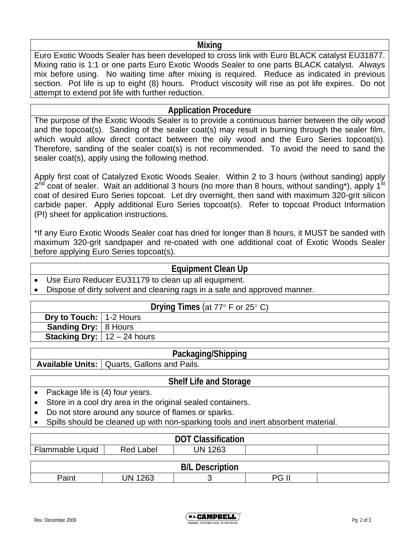#### **Mixing**

Euro Exotic Woods Sealer has been developed to cross link with Euro BLACK catalyst EU31877. Mixing ratio is 1:1 or one parts Euro Exotic Woods Sealer to one parts BLACK catalyst. Always mix before using. No waiting time after mixing is required. Reduce as indicated in previous section. Pot life is up to eight (8) hours. Product viscosity will rise as pot life expires. Do not attempt to extend pot life with further reduction.

## **Application Procedure**

The purpose of the Exotic Woods Sealer is to provide a continuous barrier between the oily wood and the topcoat(s). Sanding of the sealer coat(s) may result in burning through the sealer film, which would allow direct contact between the oily wood and the Euro Series topcoat(s). Therefore, sanding of the sealer coat(s) is not recommended. To avoid the need to sand the sealer coat(s), apply using the following method.

Apply first coat of Catalyzed Exotic Woods Sealer. Within 2 to 3 hours (without sanding) apply  $2^{nd}$  coat of sealer. Wait an additional 3 hours (no more than 8 hours, without sanding\*), apply 1<sup>st</sup> coat of desired Euro Series topcoat. Let dry overnight, then sand with maximum 320-grit silicon carbide paper. Apply additional Euro Series topcoat(s). Refer to topcoat Product Information (PI) sheet for application instructions.

\*If any Euro Exotic Woods Sealer coat has dried for longer than 8 hours, it MUST be sanded with maximum 320-grit sandpaper and re-coated with one additional coat of Exotic Woods Sealer before applying Euro Series topcoat(s).

## **Equipment Clean Up**

- Use Euro Reducer EU31179 to clean up all equipment.
- Dispose of dirty solvent and cleaning rags in a safe and approved manner.

|                                        | Drying Times (at $77^\circ$ F or $25^\circ$ C) |
|----------------------------------------|------------------------------------------------|
| <b>Dry to Touch:</b> 1-2 Hours         |                                                |
| <b>Sanding Dry:</b> 8 Hours            |                                                |
| <b>Stacking Dry:</b> $  12 - 24$ hours |                                                |

#### **Packaging/Shipping**

Available Units: | Quarts, Gallons and Pails.

# **Shelf Life and Storage**

- Package life is (4) four years.
- Store in a cool dry area in the original sealed containers.
- Do not store around any source of flames or sparks.
- Spills should be cleaned up with non-sparking tools and inert absorbent material.

| <b>DOT Classification</b> |                  |         |  |  |
|---------------------------|------------------|---------|--|--|
| Flammable Liquid          | <b>Red Label</b> | UN 1263 |  |  |
|                           |                  |         |  |  |
| .<br>$\cdots$             |                  |         |  |  |

| וו ח<br>.<br>M.<br>- |            |  |                             |  |
|----------------------|------------|--|-----------------------------|--|
|                      | . വൈ<br>JN |  | - 11<br>nr<br>. .<br>$\sim$ |  |